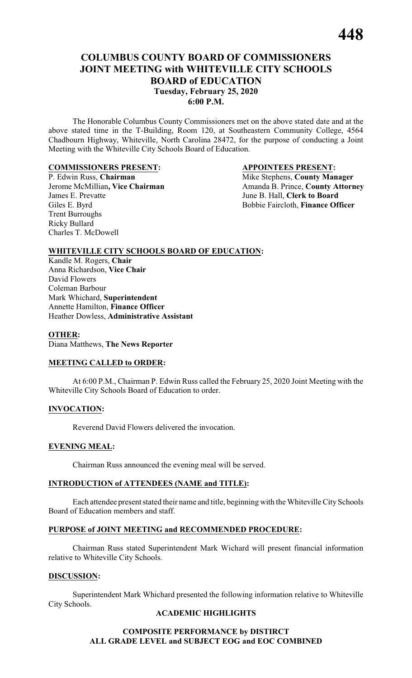# **COLUMBUS COUNTY BOARD OF COMMISSIONERS JOINT MEETING with WHITEVILLE CITY SCHOOLS BOARD of EDUCATION Tuesday, February 25, 2020 6:00 P.M.**

The Honorable Columbus County Commissioners met on the above stated date and at the above stated time in the T-Building, Room 120, at Southeastern Community College, 4564 Chadbourn Highway, Whiteville, North Carolina 28472, for the purpose of conducting a Joint Meeting with the Whiteville City Schools Board of Education.

#### **COMMISSIONERS PRESENT: APPOINTEES PRESENT:**

Giles E. Byrd Bobbie Faircloth, **Finance Officer** Trent Burroughs Ricky Bullard Charles T. McDowell

P. Edwin Russ, **Chairman** Mike Stephens, **County Manager**<br>
Jerome McMillian, Vice Chairman Manager<br>
Amanda B. Prince, County Attorn Jerome McMillian, Vice Chairman<br>
James E. Prevatte<br>
June B. Hall, Clerk to Board June B. Hall, **Clerk to Board** 

## **WHITEVILLE CITY SCHOOLS BOARD OF EDUCATION:**

Kandle M. Rogers, **Chair** Anna Richardson, **Vice Chair** David Flowers Coleman Barbour Mark Whichard, **Superintendent** Annette Hamilton, **Finance Officer** Heather Dowless, **Administrative Assistant**

#### **OTHER:**

Diana Matthews, **The News Reporter**

#### **MEETING CALLED to ORDER:**

At 6:00 P.M., Chairman P. Edwin Russ called the February 25, 2020 Joint Meeting with the Whiteville City Schools Board of Education to order.

#### **INVOCATION:**

Reverend David Flowers delivered the invocation.

#### **EVENING MEAL:**

Chairman Russ announced the evening meal will be served.

#### **INTRODUCTION of ATTENDEES (NAME and TITLE):**

Each attendee present stated their name and title, beginning with the Whiteville City Schools Board of Education members and staff.

#### **PURPOSE of JOINT MEETING and RECOMMENDED PROCEDURE:**

Chairman Russ stated Superintendent Mark Wichard will present financial information relative to Whiteville City Schools.

#### **DISCUSSION:**

Superintendent Mark Whichard presented the following information relative to Whiteville City Schools.

#### **ACADEMIC HIGHLIGHTS**

#### **COMPOSITE PERFORMANCE by DISTIRCT ALL GRADE LEVEL and SUBJECT EOG and EOC COMBINED**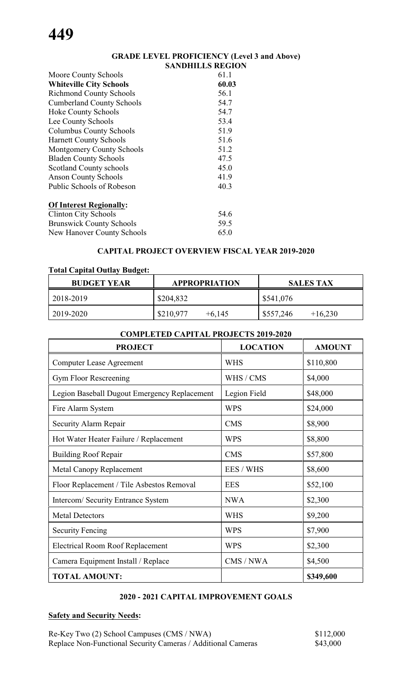#### **GRADE LEVEL PROFICIENCY (Level 3 and Above) SANDHILLS REGION**

| Moore County Schools              | 61.1  |
|-----------------------------------|-------|
| <b>Whiteville City Schools</b>    | 60.03 |
| <b>Richmond County Schools</b>    | 56.1  |
| <b>Cumberland County Schools</b>  | 54.7  |
| <b>Hoke County Schools</b>        | 54.7  |
| Lee County Schools                | 53.4  |
| <b>Columbus County Schools</b>    | 51.9  |
| <b>Harnett County Schools</b>     | 51.6  |
| <b>Montgomery County Schools</b>  | 51.2  |
| <b>Bladen County Schools</b>      | 47.5  |
| <b>Scotland County schools</b>    | 45.0  |
| <b>Anson County Schools</b>       | 41.9  |
| Public Schools of Robeson         | 40.3  |
| <b>Of Interest Regionally:</b>    |       |
| <b>Clinton City Schools</b>       | 54.6  |
| <b>Brunswick County Schools</b>   | 59.5  |
| <b>New Hanover County Schools</b> | 65.0  |

## **CAPITAL PROJECT OVERVIEW FISCAL YEAR 2019-2020**

## **Total Capital Outlay Budget:**

| <b>BUDGET YEAR</b> | <b>APPROPRIATION</b>  | <b>SALES TAX</b>       |
|--------------------|-----------------------|------------------------|
| 2018-2019          | \$204,832             | \$541,076              |
| 2019-2020          | \$210,977<br>$+6,145$ | \$557,246<br>$+16,230$ |

#### **COMPLETED CAPITAL PROJECTS 2019-2020**

| <b>PROJECT</b>                               | <b>LOCATION</b> | <b>AMOUNT</b> |
|----------------------------------------------|-----------------|---------------|
| <b>Computer Lease Agreement</b>              | <b>WHS</b>      | \$110,800     |
| Gym Floor Rescreening                        | WHS / CMS       | \$4,000       |
| Legion Baseball Dugout Emergency Replacement | Legion Field    | \$48,000      |
| Fire Alarm System                            | <b>WPS</b>      | \$24,000      |
| Security Alarm Repair                        | <b>CMS</b>      | \$8,900       |
| Hot Water Heater Failure / Replacement       | <b>WPS</b>      | \$8,800       |
| <b>Building Roof Repair</b>                  | <b>CMS</b>      | \$57,800      |
| <b>Metal Canopy Replacement</b>              | EES / WHS       | \$8,600       |
| Floor Replacement / Tile Asbestos Removal    | <b>EES</b>      | \$52,100      |
| Intercom/Security Entrance System            | <b>NWA</b>      | \$2,300       |
| <b>Metal Detectors</b>                       | <b>WHS</b>      | \$9,200       |
| <b>Security Fencing</b>                      | <b>WPS</b>      | \$7,900       |
| <b>Electrical Room Roof Replacement</b>      | <b>WPS</b>      | \$2,300       |
| Camera Equipment Install / Replace           | CMS / NWA       | \$4,500       |
| <b>TOTAL AMOUNT:</b>                         |                 | \$349,600     |

#### **2020 - 2021 CAPITAL IMPROVEMENT GOALS**

## **Safety and Security Needs:**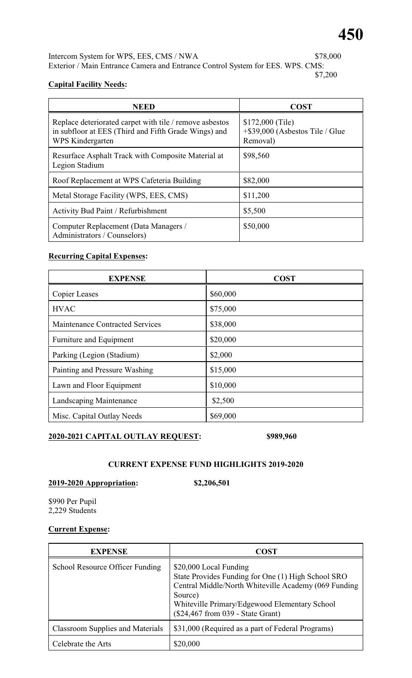Intercom System for WPS, EES, CMS / NWA \$78,000 Exterior / Main Entrance Camera and Entrance Control System for EES. WPS. CMS: \$7,200

## **Capital Facility Needs:**

| <b>NEED</b>                                                                                                                         | <b>COST</b>                                                        |
|-------------------------------------------------------------------------------------------------------------------------------------|--------------------------------------------------------------------|
| Replace deteriorated carpet with tile / remove asbestos<br>in subfloor at EES (Third and Fifth Grade Wings) and<br>WPS Kindergarten | \$172,000 (Tile)<br>$+$ \$39,000 (Asbestos Tile / Glue<br>Removal) |
| Resurface Asphalt Track with Composite Material at<br>Legion Stadium                                                                | \$98,560                                                           |
| Roof Replacement at WPS Cafeteria Building                                                                                          | \$82,000                                                           |
| Metal Storage Facility (WPS, EES, CMS)                                                                                              | \$11,200                                                           |
| <b>Activity Bud Paint / Refurbishment</b>                                                                                           | \$5,500                                                            |
| Computer Replacement (Data Managers /<br>Administrators / Counselors)                                                               | \$50,000                                                           |

# **Recurring Capital Expenses:**

| <b>EXPENSE</b>                         | <b>COST</b> |
|----------------------------------------|-------------|
| <b>Copier Leases</b>                   | \$60,000    |
| <b>HVAC</b>                            | \$75,000    |
| <b>Maintenance Contracted Services</b> | \$38,000    |
| Furniture and Equipment                | \$20,000    |
| Parking (Legion (Stadium)              | \$2,000     |
| Painting and Pressure Washing          | \$15,000    |
| Lawn and Floor Equipment               | \$10,000    |
| Landscaping Maintenance                | \$2,500     |
| Misc. Capital Outlay Needs             | \$69,000    |

# **2020-2021 CAPITAL OUTLAY REQUEST: \$989,960**

## **CURRENT EXPENSE FUND HIGHLIGHTS 2019-2020**

# **2019-2020 Appropriation: \$2,206,501**

\$990 Per Pupil 2,229 Students

# **Current Expense:**

| <b>EXPENSE</b>                          | COST                                                                                                                                                                                                                                   |
|-----------------------------------------|----------------------------------------------------------------------------------------------------------------------------------------------------------------------------------------------------------------------------------------|
| School Resource Officer Funding         | \$20,000 Local Funding<br>State Provides Funding for One (1) High School SRO<br>Central Middle/North Whiteville Academy (069 Funding)<br>Source)<br>Whiteville Primary/Edgewood Elementary School<br>(\$24,467 from 039 - State Grant) |
| <b>Classroom Supplies and Materials</b> | \$31,000 (Required as a part of Federal Programs)                                                                                                                                                                                      |
| Celebrate the Arts                      | \$20,000                                                                                                                                                                                                                               |